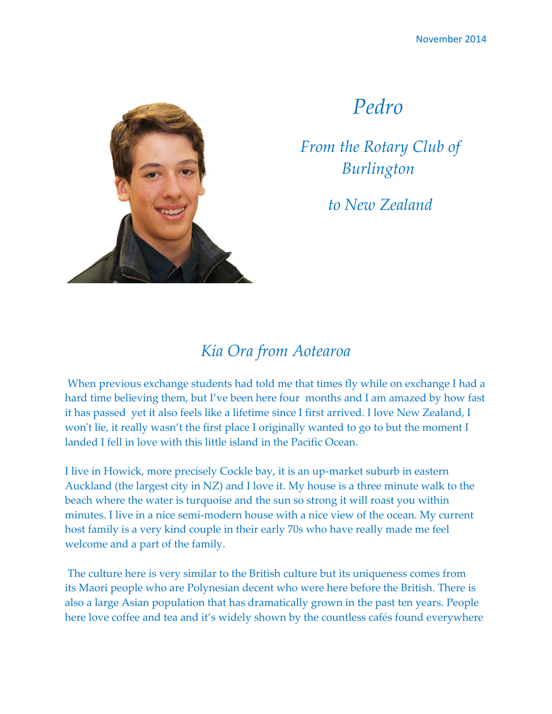

## *Pedro*

*From the Rotary Club of Burlington*

*to New Zealand*

## *Kia Ora from Aotearoa*

When previous exchange students had told me that times fly while on exchange I had a hard time believing them, but I've been here four months and I am amazed by how fast it has passed yet it also feels like a lifetime since I first arrived. I love New Zealand, I won't lie, it really wasn't the first place I originally wanted to go to but the moment I landed I fell in love with this little island in the Pacific Ocean.

I live in Howick, more precisely Cockle bay, it is an up-market suburb in eastern Auckland (the largest city in NZ) and I love it. My house is a three minute walk to the beach where the water is turquoise and the sun so strong it will roast you within minutes. I live in a nice semi-modern house with a nice view of the ocean. My current host family is a very kind couple in their early 70s who have really made me feel welcome and a part of the family.

The culture here is very similar to the British culture but its uniqueness comes from its Maori people who are Polynesian decent who were here before the British. There is also a large Asian population that has dramatically grown in the past ten years. People here love coffee and tea and it's widely shown by the countless cafés found everywhere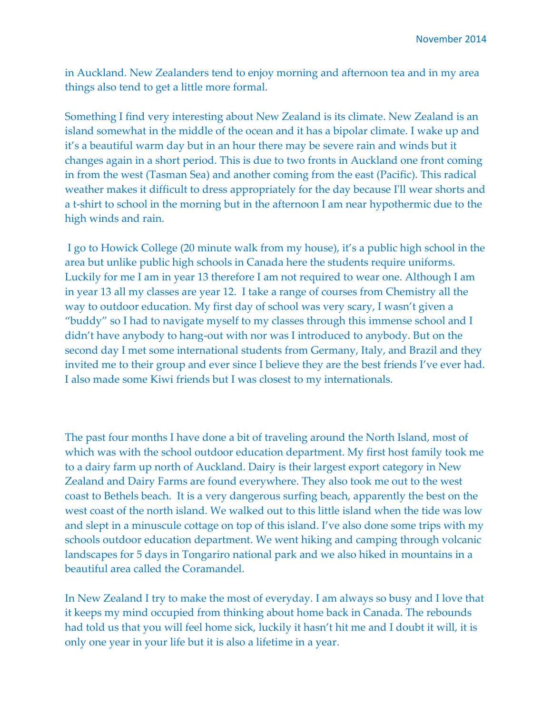in Auckland. New Zealanders tend to enjoy morning and afternoon tea and in my area things also tend to get a little more formal.

Something I find very interesting about New Zealand is its climate. New Zealand is an island somewhat in the middle of the ocean and it has a bipolar climate. I wake up and it's a beautiful warm day but in an hour there may be severe rain and winds but it changes again in a short period. This is due to two fronts in Auckland one front coming in from the west (Tasman Sea) and another coming from the east (Pacific). This radical weather makes it difficult to dress appropriately for the day because I'll wear shorts and a t-shirt to school in the morning but in the afternoon I am near hypothermic due to the high winds and rain.

I go to Howick College (20 minute walk from my house), it's a public high school in the area but unlike public high schools in Canada here the students require uniforms. Luckily for me I am in year 13 therefore I am not required to wear one. Although I am in year 13 all my classes are year 12. I take a range of courses from Chemistry all the way to outdoor education. My first day of school was very scary, I wasn't given a "buddy" so I had to navigate myself to my classes through this immense school and I didn't have anybody to hang-out with nor was I introduced to anybody. But on the second day I met some international students from Germany, Italy, and Brazil and they invited me to their group and ever since I believe they are the best friends I've ever had. I also made some Kiwi friends but I was closest to my internationals.

The past four months I have done a bit of traveling around the North Island, most of which was with the school outdoor education department. My first host family took me to a dairy farm up north of Auckland. Dairy is their largest export category in New Zealand and Dairy Farms are found everywhere. They also took me out to the west coast to Bethels beach. It is a very dangerous surfing beach, apparently the best on the west coast of the north island. We walked out to this little island when the tide was low and slept in a minuscule cottage on top of this island. I've also done some trips with my schools outdoor education department. We went hiking and camping through volcanic landscapes for 5 days in Tongariro national park and we also hiked in mountains in a beautiful area called the Coramandel.

In New Zealand I try to make the most of everyday. I am always so busy and I love that it keeps my mind occupied from thinking about home back in Canada. The rebounds had told us that you will feel home sick, luckily it hasn't hit me and I doubt it will, it is only one year in your life but it is also a lifetime in a year.